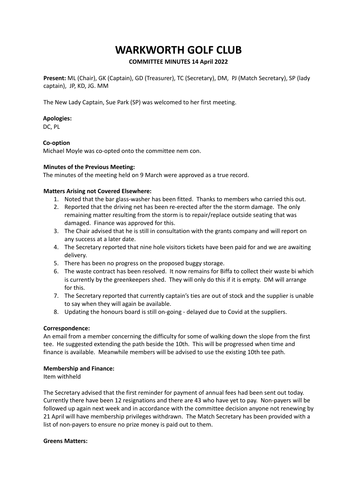# **WARKWORTH GOLF CLUB**

# **COMMITTEE MINUTES 14 April 2022**

**Present:** ML (Chair), GK (Captain), GD (Treasurer), TC (Secretary), DM, PJ (Match Secretary), SP (lady captain), JP, KD, JG. MM

The New Lady Captain, Sue Park (SP) was welcomed to her first meeting.

# **Apologies:**

DC, PL

# **Co-option**

Michael Moyle was co-opted onto the committee nem con.

# **Minutes of the Previous Meeting:**

The minutes of the meeting held on 9 March were approved as a true record.

# **Matters Arising not Covered Elsewhere:**

- 1. Noted that the bar glass-washer has been fitted. Thanks to members who carried this out.
- 2. Reported that the driving net has been re-erected after the the storm damage. The only remaining matter resulting from the storm is to repair/replace outside seating that was damaged. Finance was approved for this.
- 3. The Chair advised that he is still in consultation with the grants company and will report on any success at a later date.
- 4. The Secretary reported that nine hole visitors tickets have been paid for and we are awaiting delivery.
- 5. There has been no progress on the proposed buggy storage.
- 6. The waste contract has been resolved. It now remains for Biffa to collect their waste bi which is currently by the greenkeepers shed. They will only do this if it is empty. DM will arrange for this.
- 7. The Secretary reported that currently captain's ties are out of stock and the supplier is unable to say when they will again be available.
- 8. Updating the honours board is still on-going delayed due to Covid at the suppliers.

## **Correspondence:**

An email from a member concerning the difficulty for some of walking down the slope from the first tee. He suggested extending the path beside the 10th. This will be progressed when time and finance is available. Meanwhile members will be advised to use the existing 10th tee path.

## **Membership and Finance:**

Item withheld

The Secretary advised that the first reminder for payment of annual fees had been sent out today. Currently there have been 12 resignations and there are 43 who have yet to pay. Non-payers will be followed up again next week and in accordance with the committee decision anyone not renewing by 21 April will have membership privileges withdrawn. The Match Secretary has been provided with a list of non-payers to ensure no prize money is paid out to them.

## **Greens Matters:**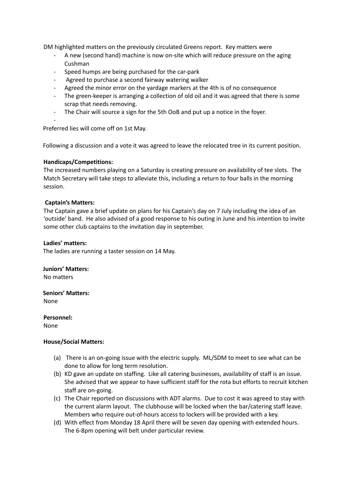DM highlighted matters on the previously circulated Greens report. Key matters were

- A new (second hand) machine is now on-site which will reduce pressure on the aging Cushman
- Speed humps are being purchased for the car-park
- Agreed to purchase a second fairway watering walker
- Agreed the minor error on the yardage markers at the 4th is of no consequence
- The green-keeper is arranging a collection of old oil and it was agreed that there is some scrap that needs removing.
- The Chair will source a sign for the 5th OoB and put up a notice in the foyer.

-

Preferred lies will come off on 1st May.

Following a discussion and a vote it was agreed to leave the relocated tree in its current position.

## **Handicaps/Competitions:**

The increased numbers playing on a Saturday is creating pressure on availability of tee slots. The Match Secretary will take steps to alleviate this, including a return to four balls in the morning session.

#### **Captain's Matters:**

The Captain gave a brief update on plans for his Captain's day on 7 July including the idea of an 'outside' band. He also advised of a good response to his outing in June and his intention to invite some other club captains to the invitation day in september.

#### **Ladies' matters:**

The ladies are running a taster session on 14 May.

**Juniors' Matters:** No matters

**Seniors' Matters:** None

**Personnel:**

None

## **House/Social Matters:**

- (a) There is an on-going issue with the electric supply. ML/SDM to meet to see what can be done to allow for long term resolution.
- (b) KD gave an update on staffing. Like all catering businesses, availability of staff is an issue. She advised that we appear to have sufficient staff for the rota but efforts to recruit kitchen staff are on-going.
- (c) The Chair reported on discussions with ADT alarms. Due to cost it was agreed to stay with the current alarm layout. The clubhouse will be locked when the bar/catering staff leave. Members who require out-of-hours access to lockers will be provided with a key.
- (d) With effect from Monday 18 April there will be seven day opening with extended hours. The 6-8pm opening will belt under particular review.